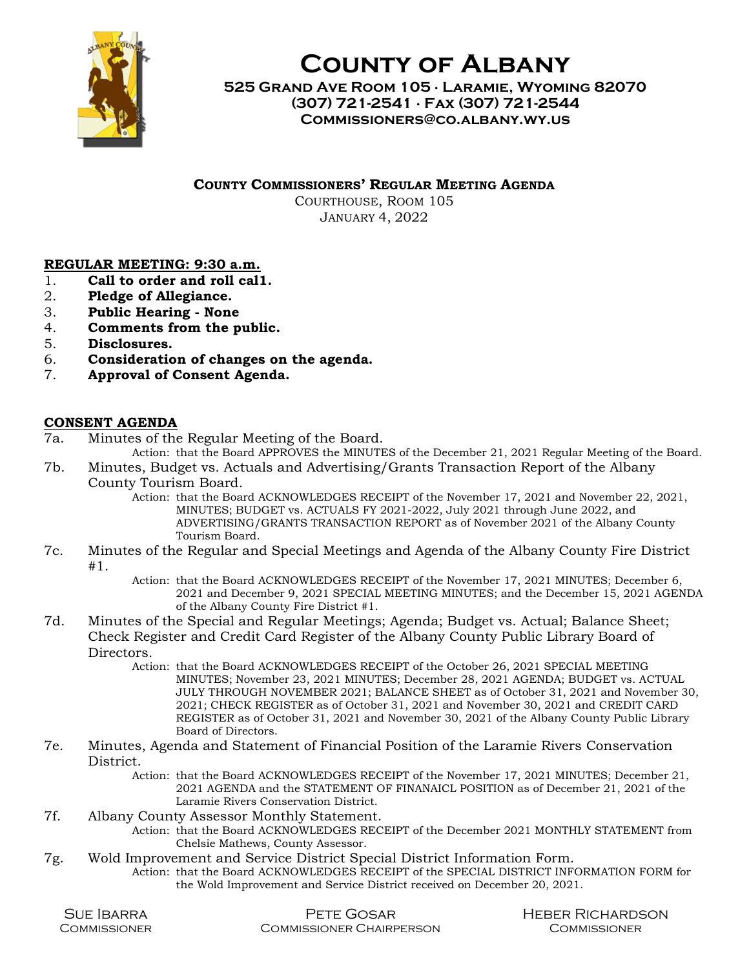

County of Albany

525 Grand Ave Room 105 ∙ Laramie, Wyoming 82070 (307) 721-2541 ∙ Fax (307) 721-2544 Commissioners@co.albany.wy.us

COUNTY COMMISSIONERS' REGULAR MEETING AGENDA

COURTHOUSE, ROOM 105 JANUARY 4, 2022

## REGULAR MEETING: 9:30 a.m.

- 1. Call to order and roll cal1.
- 2. Pledge of Allegiance.
- 3. Public Hearing None
- 4. Comments from the public.
- 5. Disclosures.
- 6. Consideration of changes on the agenda.
- 7. Approval of Consent Agenda.

## CONSENT AGENDA

7a. Minutes of the Regular Meeting of the Board.

Action: that the Board APPROVES the MINUTES of the December 21, 2021 Regular Meeting of the Board.

- 7b. Minutes, Budget vs. Actuals and Advertising/Grants Transaction Report of the Albany County Tourism Board.
	- Action: that the Board ACKNOWLEDGES RECEIPT of the November 17, 2021 and November 22, 2021, MINUTES; BUDGET vs. ACTUALS FY 2021-2022, July 2021 through June 2022, and ADVERTISING/GRANTS TRANSACTION REPORT as of November 2021 of the Albany County Tourism Board.
- 7c. Minutes of the Regular and Special Meetings and Agenda of the Albany County Fire District #1.
	- Action: that the Board ACKNOWLEDGES RECEIPT of the November 17, 2021 MINUTES; December 6, 2021 and December 9, 2021 SPECIAL MEETING MINUTES; and the December 15, 2021 AGENDA of the Albany County Fire District #1.
- 7d. Minutes of the Special and Regular Meetings; Agenda; Budget vs. Actual; Balance Sheet; Check Register and Credit Card Register of the Albany County Public Library Board of Directors.
	- Action: that the Board ACKNOWLEDGES RECEIPT of the October 26, 2021 SPECIAL MEETING MINUTES; November 23, 2021 MINUTES; December 28, 2021 AGENDA; BUDGET vs. ACTUAL JULY THROUGH NOVEMBER 2021; BALANCE SHEET as of October 31, 2021 and November 30, 2021; CHECK REGISTER as of October 31, 2021 and November 30, 2021 and CREDIT CARD REGISTER as of October 31, 2021 and November 30, 2021 of the Albany County Public Library Board of Directors.
- 7e. Minutes, Agenda and Statement of Financial Position of the Laramie Rivers Conservation District.
	- Action: that the Board ACKNOWLEDGES RECEIPT of the November 17, 2021 MINUTES; December 21, 2021 AGENDA and the STATEMENT OF FINANAICL POSITION as of December 21, 2021 of the Laramie Rivers Conservation District.

## 7f. Albany County Assessor Monthly Statement.

- Action: that the Board ACKNOWLEDGES RECEIPT of the December 2021 MONTHLY STATEMENT from Chelsie Mathews, County Assessor.
- 7g. Wold Improvement and Service District Special District Information Form.
	- Action: that the Board ACKNOWLEDGES RECEIPT of the SPECIAL DISTRICT INFORMATION FORM for the Wold Improvement and Service District received on December 20, 2021.

| <b>SUE BARRA</b> | Pete Gosar                      | HEBER RICHARDSON |
|------------------|---------------------------------|------------------|
| COMMISSIONER     | <b>COMMISSIONER CHAIRPERSON</b> | COMMISSIONER     |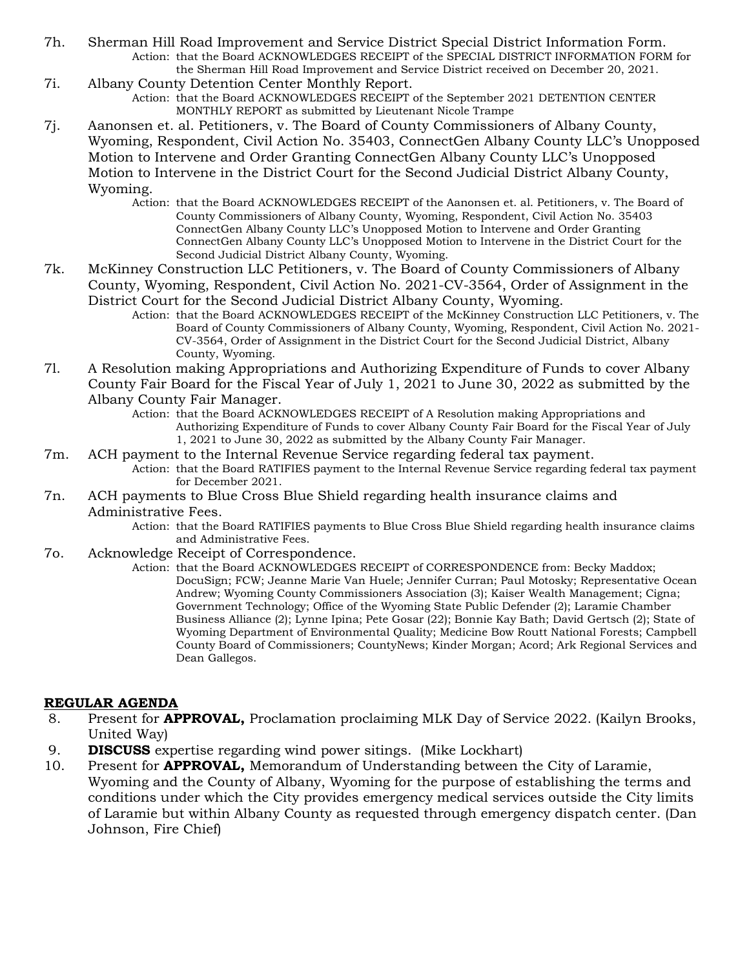- 7h. Sherman Hill Road Improvement and Service District Special District Information Form. Action: that the Board ACKNOWLEDGES RECEIPT of the SPECIAL DISTRICT INFORMATION FORM for the Sherman Hill Road Improvement and Service District received on December 20, 2021.
- 7i. Albany County Detention Center Monthly Report. Action: that the Board ACKNOWLEDGES RECEIPT of the September 2021 DETENTION CENTER MONTHLY REPORT as submitted by Lieutenant Nicole Trampe
- 7j. Aanonsen et. al. Petitioners, v. The Board of County Commissioners of Albany County, Wyoming, Respondent, Civil Action No. 35403, ConnectGen Albany County LLC's Unopposed Motion to Intervene and Order Granting ConnectGen Albany County LLC's Unopposed Motion to Intervene in the District Court for the Second Judicial District Albany County, Wyoming.
	- Action: that the Board ACKNOWLEDGES RECEIPT of the Aanonsen et. al. Petitioners, v. The Board of County Commissioners of Albany County, Wyoming, Respondent, Civil Action No. 35403 ConnectGen Albany County LLC's Unopposed Motion to Intervene and Order Granting ConnectGen Albany County LLC's Unopposed Motion to Intervene in the District Court for the Second Judicial District Albany County, Wyoming.
- 7k. McKinney Construction LLC Petitioners, v. The Board of County Commissioners of Albany County, Wyoming, Respondent, Civil Action No. 2021-CV-3564, Order of Assignment in the District Court for the Second Judicial District Albany County, Wyoming.
	- Action: that the Board ACKNOWLEDGES RECEIPT of the McKinney Construction LLC Petitioners, v. The Board of County Commissioners of Albany County, Wyoming, Respondent, Civil Action No. 2021- CV-3564, Order of Assignment in the District Court for the Second Judicial District, Albany County, Wyoming.
- 7l. A Resolution making Appropriations and Authorizing Expenditure of Funds to cover Albany County Fair Board for the Fiscal Year of July 1, 2021 to June 30, 2022 as submitted by the Albany County Fair Manager.
	- Action: that the Board ACKNOWLEDGES RECEIPT of A Resolution making Appropriations and Authorizing Expenditure of Funds to cover Albany County Fair Board for the Fiscal Year of July 1, 2021 to June 30, 2022 as submitted by the Albany County Fair Manager.
- 7m. ACH payment to the Internal Revenue Service regarding federal tax payment. Action: that the Board RATIFIES payment to the Internal Revenue Service regarding federal tax payment
	- for December 2021.
- 7n. ACH payments to Blue Cross Blue Shield regarding health insurance claims and Administrative Fees.
	- Action: that the Board RATIFIES payments to Blue Cross Blue Shield regarding health insurance claims and Administrative Fees.
- 7o. Acknowledge Receipt of Correspondence.
	- Action: that the Board ACKNOWLEDGES RECEIPT of CORRESPONDENCE from: Becky Maddox; DocuSign; FCW; Jeanne Marie Van Huele; Jennifer Curran; Paul Motosky; Representative Ocean Andrew; Wyoming County Commissioners Association (3); Kaiser Wealth Management; Cigna; Government Technology; Office of the Wyoming State Public Defender (2); Laramie Chamber Business Alliance (2); Lynne Ipina; Pete Gosar (22); Bonnie Kay Bath; David Gertsch (2); State of Wyoming Department of Environmental Quality; Medicine Bow Routt National Forests; Campbell County Board of Commissioners; CountyNews; Kinder Morgan; Acord; Ark Regional Services and Dean Gallegos.

## REGULAR AGENDA

- 8. Present for **APPROVAL**, Proclamation proclaiming MLK Day of Service 2022. (Kailyn Brooks, United Way)
- 9. **DISCUSS** expertise regarding wind power sitings. (Mike Lockhart)
- 10. Present for **APPROVAL**, Memorandum of Understanding between the City of Laramie, Wyoming and the County of Albany, Wyoming for the purpose of establishing the terms and conditions under which the City provides emergency medical services outside the City limits of Laramie but within Albany County as requested through emergency dispatch center. (Dan Johnson, Fire Chief)